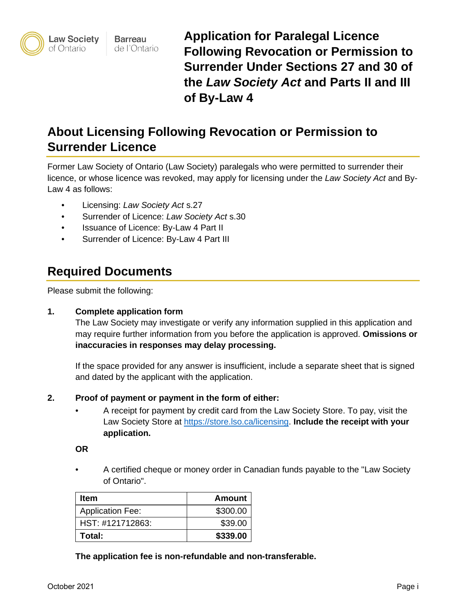

**Barreau** de l'Ontario **Application for Paralegal Licence Following Revocation or Permission to Surrender Under Sections 27 and 30 of the** *Law Society Act* **and Parts II and III of By-Law 4** 

# **About Licensing Following Revocation or Permission to Surrender Licence**

Former Law Society of Ontario (Law Society) paralegals who were permitted to surrender their licence, or whose licence was revoked, may apply for licensing under the *Law Society Act* and By-Law 4 as follows:

- Licensing: *Law Society Act* s.27
- Surrender of Licence: *Law Society Act* s.30
- Issuance of Licence: By-Law 4 Part II
- Surrender of Licence: By-Law 4 Part III

# **Required Documents**

Please submit the following:

## **1. Complete application form**

The Law Society may investigate or verify any information supplied in this application and may require further information from you before the application is approved. **Omissions or inaccuracies in responses may delay processing.**

If the space provided for any answer is insufficient, include a separate sheet that is signed and dated by the applicant with the application.

## **2. Proof of payment or payment in the form of either:**

• A receipt for payment by credit card from the Law Society Store. To pay, visit the Law Society Store at [https://store.lso.ca/licensing.](https://store.lso.ca/licensing) **Include the receipt with your application.**

**OR**

• A certified cheque or money order in Canadian funds payable to the "Law Society of Ontario".

| Item                    | <b>Amount</b> |
|-------------------------|---------------|
| <b>Application Fee:</b> | \$300.00      |
| HST: #121712863:        | \$39.00       |
| Total:                  | \$339.00      |

**The application fee is non-refundable and non-transferable.**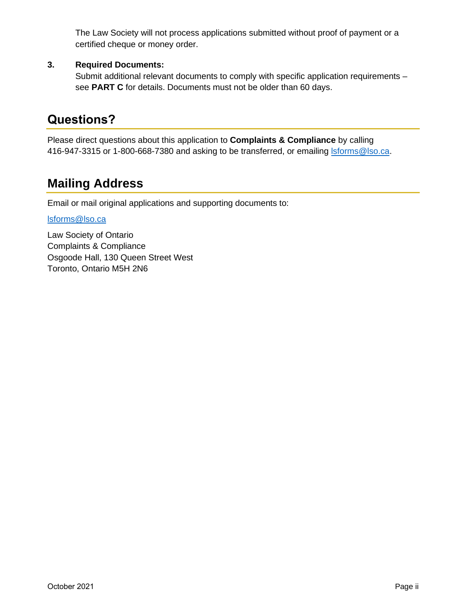The Law Society will not process applications submitted without proof of payment or a certified cheque or money order.

## **3. Required Documents:**

Submit additional relevant documents to comply with specific application requirements – see **PART C** for details. Documents must not be older than 60 days.

# **Questions?**

Please direct questions about this application to **Complaints & Compliance** by calling 416-947-3315 or 1-800-668-7380 and asking to be transferred, or emailing storms@lso.ca.

# **Mailing Address**

Email or mail original applications and supporting documents to:

## [lsforms@lso.ca](mailto:lsforms@lso.ca)

Law Society of Ontario Complaints & Compliance Osgoode Hall, 130 Queen Street West Toronto, Ontario M5H 2N6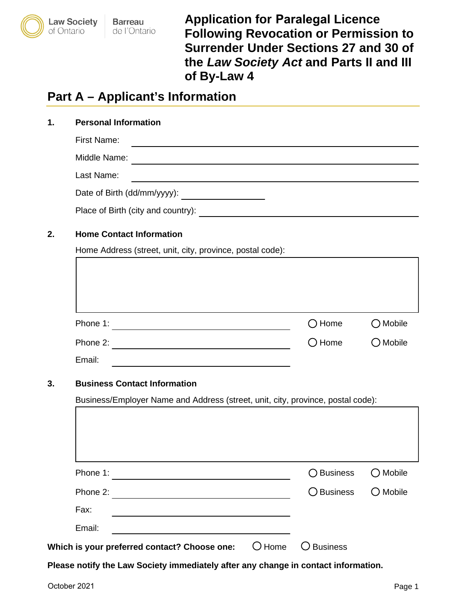

**Barreau** de l'Ontario **Application for Paralegal Licence Following Revocation or Permission to Surrender Under Sections 27 and 30 of the** *Law Society Act* **and Parts II and III of By-Law 4** 

# **Part A – Applicant's Information**

| 1. | <b>Personal Information</b>        |
|----|------------------------------------|
|    | First Name:                        |
|    | Middle Name:                       |
|    | Last Name:                         |
|    | Date of Birth (dd/mm/yyyy):        |
|    | Place of Birth (city and country): |
|    |                                    |

## **2. Home Contact Information**

Home Address (street, unit, city, province, postal code):

| Phone 1:                            |                                                                                           | $\bigcirc$ Home      | $\bigcirc$ Mobile                      |
|-------------------------------------|-------------------------------------------------------------------------------------------|----------------------|----------------------------------------|
| Phone 2:                            |                                                                                           | $\bigcirc$ Home      | $\bigcirc$ Mobile                      |
| Email:                              |                                                                                           |                      |                                        |
|                                     |                                                                                           |                      |                                        |
| <b>Business Contact Information</b> |                                                                                           |                      |                                        |
|                                     | Business/Employer Name and Address (street, unit, city, province, postal code):           |                      |                                        |
| Phone 1:                            |                                                                                           | <b>Business</b><br>◯ |                                        |
| Phone 2:                            |                                                                                           | <b>Business</b>      |                                        |
| Fax:                                | the control of the control of the control of the control of the control of the control of |                      | $\bigcirc$ Mobile<br>$\bigcirc$ Mobile |

**Please notify the Law Society immediately after any change in contact information.**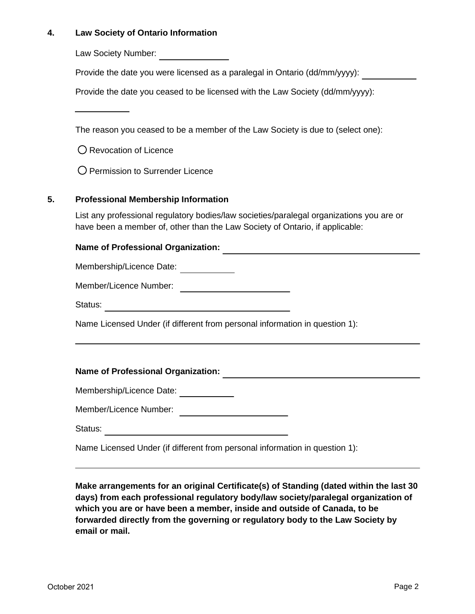## **4. Law Society of Ontario Information**

Law Society Number:

Provide the date you were licensed as a paralegal in Ontario (dd/mm/yyyy):

Provide the date you ceased to be licensed with the Law Society (dd/mm/yyyy):

The reason you ceased to be a member of the Law Society is due to (select one):

O Revocation of Licence

O Permission to Surrender Licence

## **5. Professional Membership Information**

List any professional regulatory bodies/law societies/paralegal organizations you are or have been a member of, other than the Law Society of Ontario, if applicable:

## **Name of Professional Organization:**

Membership/Licence Date: \_\_\_\_\_\_\_\_\_\_\_\_

Member/Licence Number:

Status: Status: Status: Status: Status: Status: Status: Status: Status: Status: Status: Status: Status: Status: Status: Status: Status: Status: Status: Status: Status: Status: Status: Status: Status: Status: Status: Status

Name Licensed Under (if different from personal information in question 1):

## **Name of Professional Organization:**

Membership/Licence Date:

Member/Licence Number:

Status: The Contract of the Contract of The Contract of The Contract of The Contract of The Contract of The Contract of The Contract of The Contract of The Contract of The Contract of The Contract of The Contract of The Co

Name Licensed Under (if different from personal information in question 1):

**Make arrangements for an original Certificate(s) of Standing (dated within the last 30 days) from each professional regulatory body/law society/paralegal organization of which you are or have been a member, inside and outside of Canada, to be forwarded directly from the governing or regulatory body to the Law Society by email or mail.**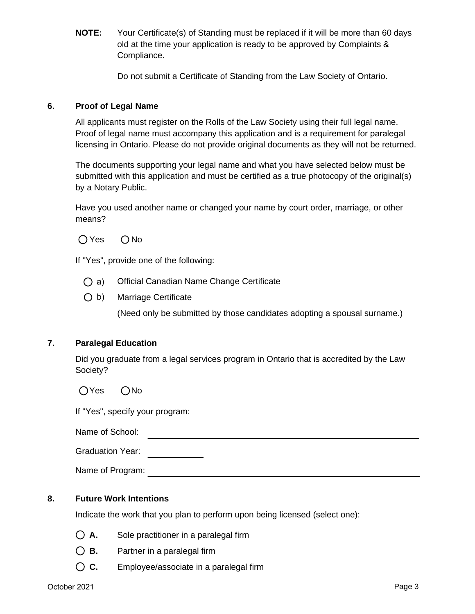**NOTE:** Your Certificate(s) of Standing must be replaced if it will be more than 60 days old at the time your application is ready to be approved by Complaints & Compliance.

Do not submit a Certificate of Standing from the Law Society of Ontario.

## **6. Proof of Legal Name**

All applicants must register on the Rolls of the Law Society using their full legal name. Proof of legal name must accompany this application and is a requirement for paralegal licensing in Ontario. Please do not provide original documents as they will not be returned.

The documents supporting your legal name and what you have selected below must be submitted with this application and must be certified as a true photocopy of the original(s) by a Notary Public.

Have you used another name or changed your name by court order, marriage, or other means?

 $OYes$   $ONo$ 

If "Yes", provide one of the following:

- a) Official Canadian Name Change Certificate
- b) Marriage Certificate

(Need only be submitted by those candidates adopting a spousal surname.)

## **7. Paralegal Education**

Did you graduate from a legal services program in Ontario that is accredited by the Law Society?

 $OYes$   $ONo$ 

If "Yes", specify your program:

Name of School:

| <b>Graduation Year:</b> |  |
|-------------------------|--|
|                         |  |

Name of Program:  $\blacksquare$ 

## **8. Future Work Intentions**

Indicate the work that you plan to perform upon being licensed (select one):

- **A.** Sole practitioner in a paralegal firm
- **B.** Partner in a paralegal firm
- **C.** Employee/associate in a paralegal firm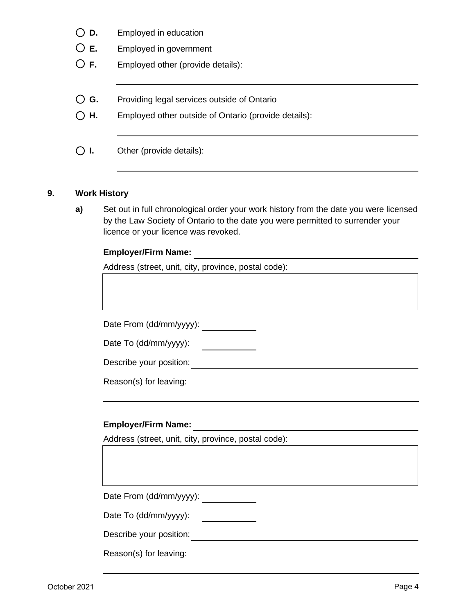- **D.** Employed in education
- **E.** Employed in government
- **F.** Employed other (provide details):
- **G.** Providing legal services outside of Ontario
- **H.** Employed other outside of Ontario (provide details):
- **I.** Other (provide details):

## **9. Work History**

**a)** Set out in full chronological order your work history from the date you were licensed by the Law Society of Ontario to the date you were permitted to surrender your licence or your licence was revoked.

#### **Employer/Firm Name:**

Address (street, unit, city, province, postal code):

Date From (dd/mm/yyyy): \_\_\_\_\_\_\_\_\_\_\_\_

Date To (dd/mm/yyyy): 

Describe your position:

Reason(s) for leaving:

## **Employer/Firm Name:**

Address (street, unit, city, province, postal code):

Date From (dd/mm/yyyy):

Date To (dd/mm/yyyy):  $\overline{\phantom{a}}$ 

Describe your position:

Reason(s) for leaving: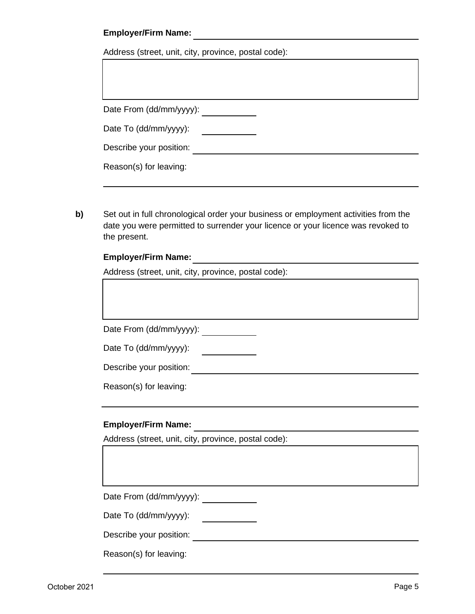## **Employer/Firm Name:**

Address (street, unit, city, province, postal code):

| Date From (dd/mm/yyyy): |  |
|-------------------------|--|
| Date To (dd/mm/yyyy):   |  |
| Describe your position: |  |
| Reason(s) for leaving:  |  |

**b)** Set out in full chronological order your business or employment activities from the date you were permitted to surrender your licence or your licence was revoked to the present.

#### **Employer/Firm Name:**

Address (street, unit, city, province, postal code):

Date From (dd/mm/yyyy): \_\_\_\_\_\_\_\_\_\_\_

Date To (dd/mm/yyyy):

Describe your position:

Reason(s) for leaving:

## **Employer/Firm Name:**

Address (street, unit, city, province, postal code):

Date From (dd/mm/yyyy):

Date To (dd/mm/yyyy): <u>and the state of the state</u>

Describe your position:

Reason(s) for leaving: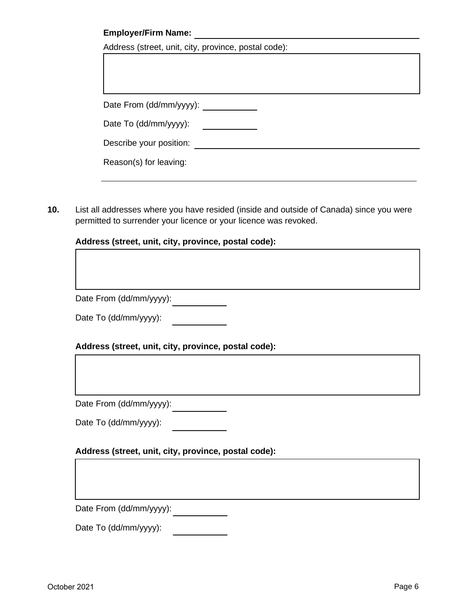## **Employer/Firm Name:**

| Address (street, unit, city, province, postal code): |  |
|------------------------------------------------------|--|
|                                                      |  |

Date From (dd/mm/yyyy):

Date To (dd/mm/yyyy): \_\_\_\_\_\_\_\_\_\_\_\_\_\_\_

Describe your position:  $\qquad \qquad \qquad$ 

**10.** List all addresses where you have resided (inside and outside of Canada) since you were permitted to surrender your licence or your licence was revoked.

## **Address (street, unit, city, province, postal code):**

Date From (dd/mm/yyyy):

Date To (dd/mm/yyyy):

## **Address (street, unit, city, province, postal code):**

Date From (dd/mm/yyyy):

Date To (dd/mm/yyyy):

#### **Address (street, unit, city, province, postal code):**

Date From (dd/mm/yyyy):

Date To (dd/mm/yyyy):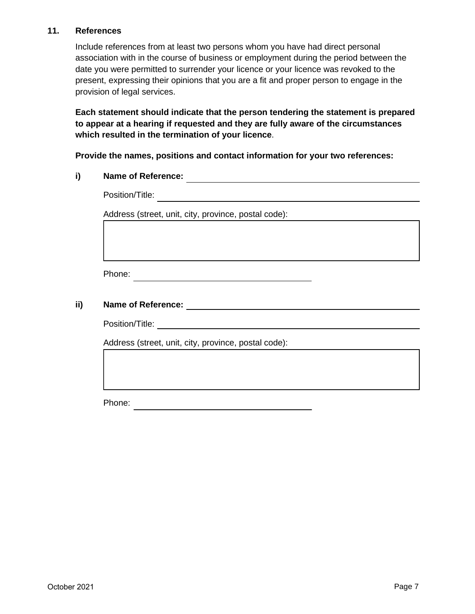## **11. References**

Include references from at least two persons whom you have had direct personal association with in the course of business or employment during the period between the date you were permitted to surrender your licence or your licence was revoked to the present, expressing their opinions that you are a fit and proper person to engage in the provision of legal services.

**Each statement should indicate that the person tendering the statement is prepared to appear at a hearing if requested and they are fully aware of the circumstances which resulted in the termination of your licence**.

**Provide the names, positions and contact information for your two references:**

# **i) Name of Reference:**

Position/Title:

Address (street, unit, city, province, postal code):

Phone:

## **ii) Name of Reference:**

Position/Title:

Address (street, unit, city, province, postal code):

Phone: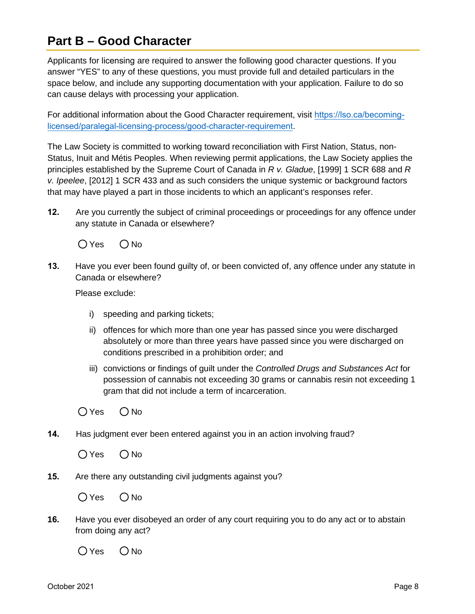# **Part B – Good Character**

Applicants for licensing are required to answer the following good character questions. If you answer "YES" to any of these questions, you must provide full and detailed particulars in the space below, and include any supporting documentation with your application. Failure to do so can cause delays with processing your application.

For additional information about the Good Character requirement, visit [https://lso.ca/becoming](https://lso.ca/becoming-licensed/paralegal-licensing-process/good-character-requirement)[licensed/paralegal-licensing-process/good-character-requirement](https://lso.ca/becoming-licensed/paralegal-licensing-process/good-character-requirement).

The Law Society is committed to working toward reconciliation with First Nation, Status, non-Status, Inuit and Métis Peoples. When reviewing permit applications, the Law Society applies the principles established by the Supreme Court of Canada in *R v. Gladue*, [1999] 1 SCR 688 and *R v. Ipeelee*, [2012] 1 SCR 433 and as such considers the unique systemic or background factors that may have played a part in those incidents to which an applicant's responses refer.

**12.** Are you currently the subject of criminal proceedings or proceedings for any offence under any statute in Canada or elsewhere?

 $OYes$   $ONo$ 

**13.** Have you ever been found guilty of, or been convicted of, any offence under any statute in Canada or elsewhere?

Please exclude:

- i) speeding and parking tickets;
- ii) offences for which more than one year has passed since you were discharged absolutely or more than three years have passed since you were discharged on conditions prescribed in a prohibition order; and
- iii) convictions or findings of guilt under the *Controlled Drugs and Substances Act* for possession of cannabis not exceeding 30 grams or cannabis resin not exceeding 1 gram that did not include a term of incarceration.

 $OYes$   $ONo$ 

**14.** Has judgment ever been entered against you in an action involving fraud?

 $OYes$   $ONo$ 

**15.** Are there any outstanding civil judgments against you?

 $OYes$   $ONo$ 

**16.** Have you ever disobeyed an order of any court requiring you to do any act or to abstain from doing any act?

 $OYes$   $ONo$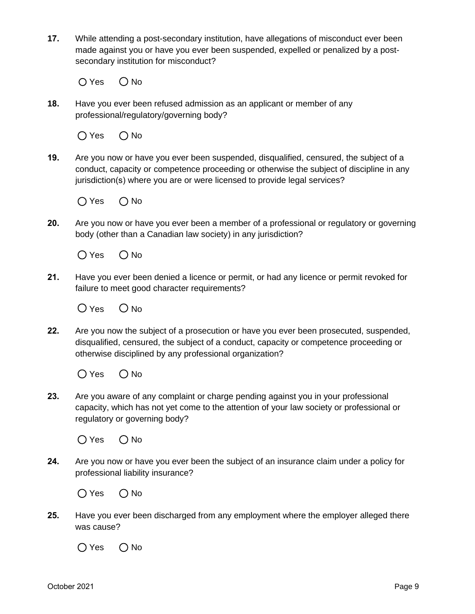**17.** While attending a post-secondary institution, have allegations of misconduct ever been made against you or have you ever been suspended, expelled or penalized by a postsecondary institution for misconduct?

 $O$  Yes  $O$  No

**18.** Have you ever been refused admission as an applicant or member of any professional/regulatory/governing body?

 $O$  Yes  $O$  No

**19.** Are you now or have you ever been suspended, disqualified, censured, the subject of a conduct, capacity or competence proceeding or otherwise the subject of discipline in any jurisdiction(s) where you are or were licensed to provide legal services?

 $O$  Yes  $O$  No

**20.** Are you now or have you ever been a member of a professional or regulatory or governing body (other than a Canadian law society) in any jurisdiction?

 $O$  Yes  $O$  No

**21.** Have you ever been denied a licence or permit, or had any licence or permit revoked for failure to meet good character requirements?

 $O$  Yes  $O$  No.

**22.** Are you now the subject of a prosecution or have you ever been prosecuted, suspended, disqualified, censured, the subject of a conduct, capacity or competence proceeding or otherwise disciplined by any professional organization?

 $O$  Yes  $O$  No

**23.** Are you aware of any complaint or charge pending against you in your professional capacity, which has not yet come to the attention of your law society or professional or regulatory or governing body?



**24.** Are you now or have you ever been the subject of an insurance claim under a policy for professional liability insurance?

 $O$  Yes  $O$  No

**25.** Have you ever been discharged from any employment where the employer alleged there was cause?

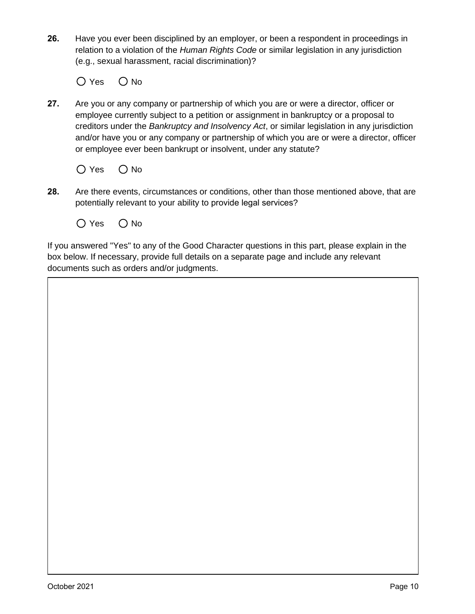**26.** Have you ever been disciplined by an employer, or been a respondent in proceedings in relation to a violation of the *Human Rights Code* or similar legislation in any jurisdiction (e.g., sexual harassment, racial discrimination)?

 $O$  Yes  $O$  No

**27.** Are you or any company or partnership of which you are or were a director, officer or employee currently subject to a petition or assignment in bankruptcy or a proposal to creditors under the *Bankruptcy and Insolvency Act*, or similar legislation in any jurisdiction and/or have you or any company or partnership of which you are or were a director, officer or employee ever been bankrupt or insolvent, under any statute?



- **28.** Are there events, circumstances or conditions, other than those mentioned above, that are potentially relevant to your ability to provide legal services?
	- $O$  Yes  $O$  No

If you answered "Yes" to any of the Good Character questions in this part, please explain in the box below. If necessary, provide full details on a separate page and include any relevant documents such as orders and/or judgments.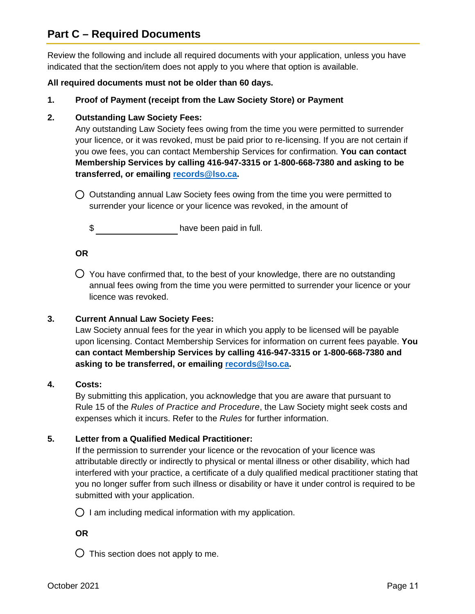## **Part C – Required Documents**

Review the following and include all required documents with your application, unless you have indicated that the section/item does not apply to you where that option is available.

## **All required documents must not be older than 60 days.**

**1. Proof of Payment (receipt from the Law Society Store) or Payment**

## **2. Outstanding Law Society Fees:**

Any outstanding Law Society fees owing from the time you were permitted to surrender your licence, or it was revoked, must be paid prior to re-licensing. If you are not certain if you owe fees, you can contact Membership Services for confirmation. **You can contact Membership Services by calling 416-947-3315 or 1-800-668-7380 and asking to be transferred, or emailing [records@lso.ca.](mailto:records@lso.ca)**

 $\bigcirc$  Outstanding annual Law Society fees owing from the time you were permitted to surrender your licence or your licence was revoked, in the amount of

\$

## **OR**

 $\bigcirc$  You have confirmed that, to the best of your knowledge, there are no outstanding annual fees owing from the time you were permitted to surrender your licence or your licence was revoked.

## **3. Current Annual Law Society Fees:**

Law Society annual fees for the year in which you apply to be licensed will be payable upon licensing. Contact Membership Services for information on current fees payable. **You can contact Membership Services by calling 416-947-3315 or 1-800-668-7380 and asking to be transferred, or emailing [records@lso.ca.](mailto:records@lso.ca)**

#### **4. Costs:**

By submitting this application, you acknowledge that you are aware that pursuant to Rule 15 of the *Rules of Practice and Procedure*, the Law Society might seek costs and expenses which it incurs. Refer to the *Rules* for further information.

## **5. Letter from a Qualified Medical Practitioner:**

If the permission to surrender your licence or the revocation of your licence was attributable directly or indirectly to physical or mental illness or other disability, which had interfered with your practice, a certificate of a duly qualified medical practitioner stating that you no longer suffer from such illness or disability or have it under control is required to be submitted with your application.

 $\bigcirc$  I am including medical information with my application.

## **OR**

 $\bigcirc$  This section does not apply to me.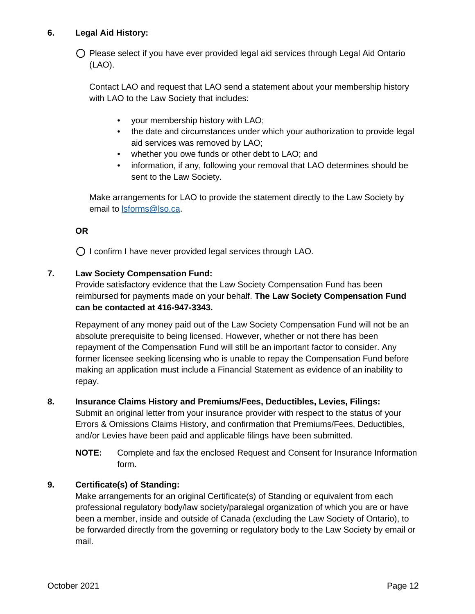## **6. Legal Aid History:**

 $\bigcirc$  Please select if you have ever provided legal aid services through Legal Aid Ontario (LAO).

Contact LAO and request that LAO send a statement about your membership history with LAO to the Law Society that includes:

- your membership history with LAO;
- the date and circumstances under which your authorization to provide legal aid services was removed by LAO;
- whether you owe funds or other debt to LAO; and
- information, if any, following your removal that LAO determines should be sent to the Law Society.

Make arrangements for LAO to provide the statement directly to the Law Society by email to [lsforms@lso.ca.](mailto:lsforms@lso.ca)

## **OR**

 $\bigcirc$  I confirm I have never provided legal services through LAO.

## **7. Law Society Compensation Fund:**

Provide satisfactory evidence that the Law Society Compensation Fund has been reimbursed for payments made on your behalf. **The Law Society Compensation Fund can be contacted at 416-947-3343.**

Repayment of any money paid out of the Law Society Compensation Fund will not be an absolute prerequisite to being licensed. However, whether or not there has been repayment of the Compensation Fund will still be an important factor to consider. Any former licensee seeking licensing who is unable to repay the Compensation Fund before making an application must include a Financial Statement as evidence of an inability to repay.

## **8. Insurance Claims History and Premiums/Fees, Deductibles, Levies, Filings:**

Submit an original letter from your insurance provider with respect to the status of your Errors & Omissions Claims History, and confirmation that Premiums/Fees, Deductibles, and/or Levies have been paid and applicable filings have been submitted.

**NOTE:** Complete and fax the enclosed Request and Consent for Insurance Information form.

## **9. Certificate(s) of Standing:**

Make arrangements for an original Certificate(s) of Standing or equivalent from each professional regulatory body/law society/paralegal organization of which you are or have been a member, inside and outside of Canada (excluding the Law Society of Ontario), to be forwarded directly from the governing or regulatory body to the Law Society by email or mail.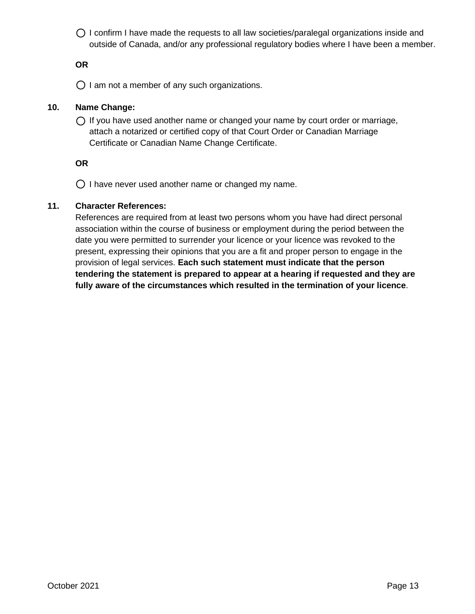$\bigcirc$  I confirm I have made the requests to all law societies/paralegal organizations inside and outside of Canada, and/or any professional regulatory bodies where I have been a member.

## **OR**

 $\bigcirc$  I am not a member of any such organizations.

## **10. Name Change:**

 $\bigcap$  If you have used another name or changed your name by court order or marriage, attach a notarized or certified copy of that Court Order or Canadian Marriage Certificate or Canadian Name Change Certificate.

## **OR**

 $\bigcirc$  I have never used another name or changed my name.

## **11. Character References:**

References are required from at least two persons whom you have had direct personal association within the course of business or employment during the period between the date you were permitted to surrender your licence or your licence was revoked to the present, expressing their opinions that you are a fit and proper person to engage in the provision of legal services. **Each such statement must indicate that the person tendering the statement is prepared to appear at a hearing if requested and they are fully aware of the circumstances which resulted in the termination of your licence**.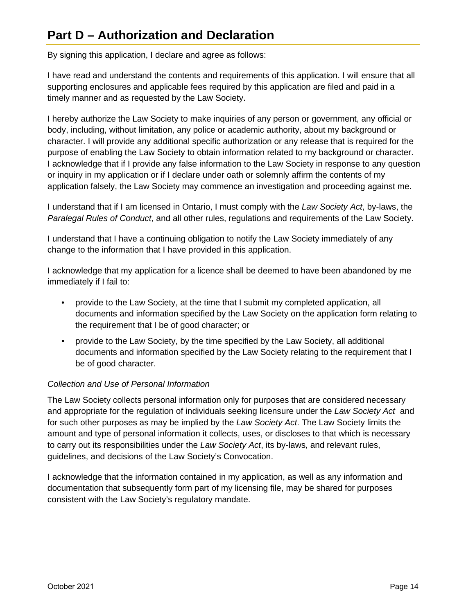# **Part D – Authorization and Declaration**

By signing this application, I declare and agree as follows:

I have read and understand the contents and requirements of this application. I will ensure that all supporting enclosures and applicable fees required by this application are filed and paid in a timely manner and as requested by the Law Society.

I hereby authorize the Law Society to make inquiries of any person or government, any official or body, including, without limitation, any police or academic authority, about my background or character. I will provide any additional specific authorization or any release that is required for the purpose of enabling the Law Society to obtain information related to my background or character. I acknowledge that if I provide any false information to the Law Society in response to any question or inquiry in my application or if I declare under oath or solemnly affirm the contents of my application falsely, the Law Society may commence an investigation and proceeding against me.

I understand that if I am licensed in Ontario, I must comply with the *Law Society Act*, by-laws, the *Paralegal Rules of Conduct*, and all other rules, regulations and requirements of the Law Society.

I understand that I have a continuing obligation to notify the Law Society immediately of any change to the information that I have provided in this application.

I acknowledge that my application for a licence shall be deemed to have been abandoned by me immediately if I fail to:

- provide to the Law Society, at the time that I submit my completed application, all documents and information specified by the Law Society on the application form relating to the requirement that I be of good character; or
- provide to the Law Society, by the time specified by the Law Society, all additional documents and information specified by the Law Society relating to the requirement that I be of good character.

## *Collection and Use of Personal Information*

The Law Society collects personal information only for purposes that are considered necessary and appropriate for the regulation of individuals seeking licensure under the *Law Society Act* and for such other purposes as may be implied by the *Law Society Act*. The Law Society limits the amount and type of personal information it collects, uses, or discloses to that which is necessary to carry out its responsibilities under the *Law Society Act*, its by-laws, and relevant rules, guidelines, and decisions of the Law Society's Convocation.

I acknowledge that the information contained in my application, as well as any information and documentation that subsequently form part of my licensing file, may be shared for purposes consistent with the Law Society's regulatory mandate.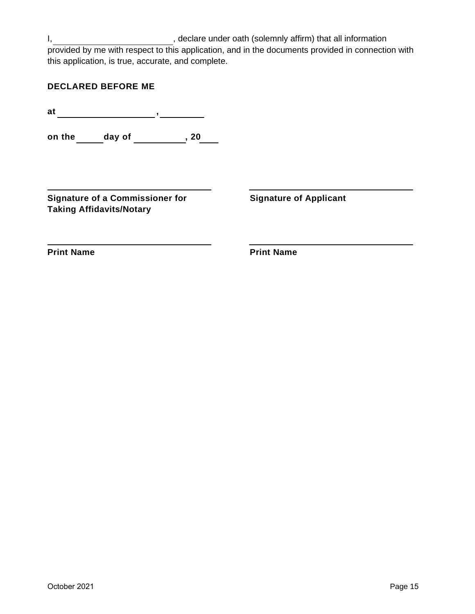I, state of the clare under oath (solemnly affirm) that all information provided by me with respect to this application, and in the documents provided in connection with this application, is true, accurate, and complete.

**at ,** 

**on the \_\_\_\_\_\_ day of \_\_\_\_\_\_\_\_\_\_\_, 20\_\_\_\_** 

**Signature of a Commissioner for Taking Affidavits/Notary** 

**Signature of Applicant**

**Print Name**

**Print Name**